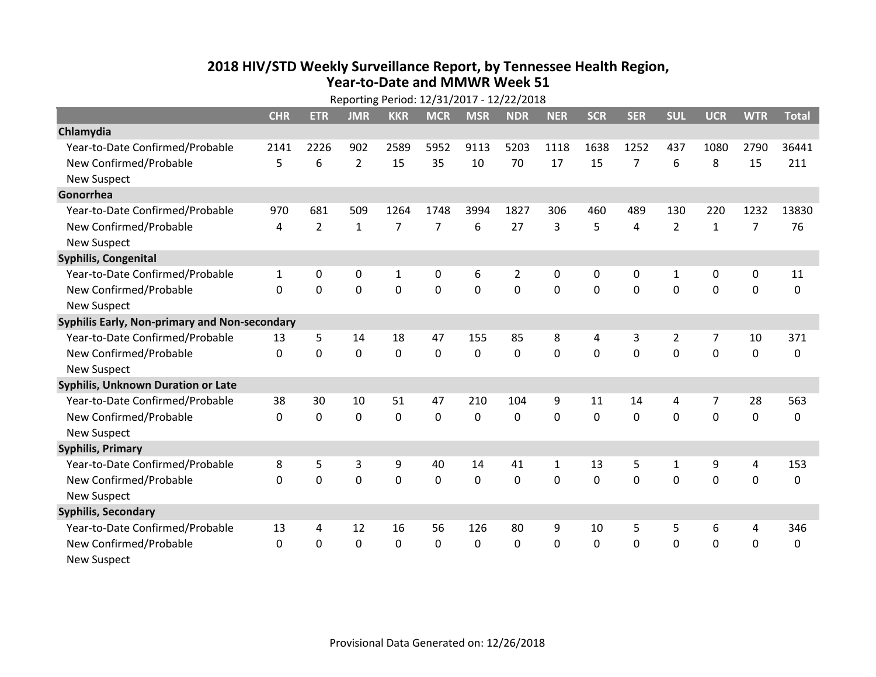## **2018 HIV /STD Weekly Surveillance Report, by Tennessee Health Region, Year‐to‐Date and MMWR Week 51**

| Reporting Period: 12/31/2017 - 12/22/2018     |              |                |                |                |                |             |                |             |              |                |                |              |                |              |
|-----------------------------------------------|--------------|----------------|----------------|----------------|----------------|-------------|----------------|-------------|--------------|----------------|----------------|--------------|----------------|--------------|
|                                               | <b>CHR</b>   | <b>ETR</b>     | <b>JMR</b>     | <b>KKR</b>     | <b>MCR</b>     | <b>MSR</b>  | <b>NDR</b>     | <b>NER</b>  | <b>SCR</b>   | <b>SER</b>     | <b>SUL</b>     | <b>UCR</b>   | <b>WTR</b>     | <b>Total</b> |
| Chlamydia                                     |              |                |                |                |                |             |                |             |              |                |                |              |                |              |
| Year-to-Date Confirmed/Probable               | 2141         | 2226           | 902            | 2589           | 5952           | 9113        | 5203           | 1118        | 1638         | 1252           | 437            | 1080         | 2790           | 36441        |
| New Confirmed/Probable                        | 5            | 6              | $\overline{2}$ | 15             | 35             | 10          | 70             | 17          | 15           | $\overline{7}$ | 6              | 8            | 15             | 211          |
| <b>New Suspect</b>                            |              |                |                |                |                |             |                |             |              |                |                |              |                |              |
| Gonorrhea                                     |              |                |                |                |                |             |                |             |              |                |                |              |                |              |
| Year-to-Date Confirmed/Probable               | 970          | 681            | 509            | 1264           | 1748           | 3994        | 1827           | 306         | 460          | 489            | 130            | 220          | 1232           | 13830        |
| New Confirmed/Probable                        | 4            | $\overline{2}$ | $\mathbf{1}$   | $\overline{7}$ | $\overline{7}$ | 6           | 27             | 3           | 5            | 4              | $\overline{2}$ | $\mathbf{1}$ | $\overline{7}$ | 76           |
| <b>New Suspect</b>                            |              |                |                |                |                |             |                |             |              |                |                |              |                |              |
| Syphilis, Congenital                          |              |                |                |                |                |             |                |             |              |                |                |              |                |              |
| Year-to-Date Confirmed/Probable               | 1            | 0              | 0              | 1              | 0              | 6           | 2              | 0           | 0            | 0              | 1              | 0            | 0              | 11           |
| New Confirmed/Probable                        | 0            | 0              | 0              | $\mathbf 0$    | 0              | $\mathbf 0$ | $\overline{0}$ | $\mathbf 0$ | $\Omega$     | $\Omega$       | $\mathbf 0$    | $\mathbf 0$  | $\mathbf 0$    | 0            |
| <b>New Suspect</b>                            |              |                |                |                |                |             |                |             |              |                |                |              |                |              |
| Syphilis Early, Non-primary and Non-secondary |              |                |                |                |                |             |                |             |              |                |                |              |                |              |
| Year-to-Date Confirmed/Probable               | 13           | 5              | 14             | 18             | 47             | 155         | 85             | 8           | 4            | 3              | 2              | 7            | 10             | 371          |
| New Confirmed/Probable                        | $\mathbf{0}$ | 0              | 0              | $\mathbf 0$    | 0              | 0           | $\mathbf 0$    | 0           | $\Omega$     | $\Omega$       | $\mathbf 0$    | 0            | $\mathbf 0$    | 0            |
| <b>New Suspect</b>                            |              |                |                |                |                |             |                |             |              |                |                |              |                |              |
| Syphilis, Unknown Duration or Late            |              |                |                |                |                |             |                |             |              |                |                |              |                |              |
| Year-to-Date Confirmed/Probable               | 38           | 30             | 10             | 51             | 47             | 210         | 104            | 9           | 11           | 14             | 4              | 7            | 28             | 563          |
| New Confirmed/Probable                        | $\Omega$     | 0              | 0              | 0              | 0              | $\mathbf 0$ | $\mathbf 0$    | $\Omega$    | $\Omega$     | $\Omega$       | $\Omega$       | 0            | $\mathbf 0$    | 0            |
| <b>New Suspect</b>                            |              |                |                |                |                |             |                |             |              |                |                |              |                |              |
| <b>Syphilis, Primary</b>                      |              |                |                |                |                |             |                |             |              |                |                |              |                |              |
| Year-to-Date Confirmed/Probable               | 8            | 5              | 3              | 9              | 40             | 14          | 41             | 1           | 13           | 5              | 1              | 9            | 4              | 153          |
| New Confirmed/Probable                        | $\Omega$     | 0              | 0              | $\mathbf 0$    | 0              | $\mathbf 0$ | $\mathbf 0$    | $\Omega$    | $\Omega$     | $\Omega$       | $\Omega$       | $\mathbf 0$  | $\mathbf 0$    | $\Omega$     |
| <b>New Suspect</b>                            |              |                |                |                |                |             |                |             |              |                |                |              |                |              |
| <b>Syphilis, Secondary</b>                    |              |                |                |                |                |             |                |             |              |                |                |              |                |              |
| Year-to-Date Confirmed/Probable               | 13           | 4              | 12             | 16             | 56             | 126         | 80             | 9           | 10           | 5              | 5              | 6            | 4              | 346          |
| New Confirmed/Probable                        | $\mathbf{0}$ | 0              | 0              | $\mathbf{0}$   | $\Omega$       | $\Omega$    | 0              | 0           | $\mathbf{0}$ | $\mathbf{0}$   | $\mathbf{0}$   | 0            | $\mathbf 0$    | 0            |
| <b>New Suspect</b>                            |              |                |                |                |                |             |                |             |              |                |                |              |                |              |